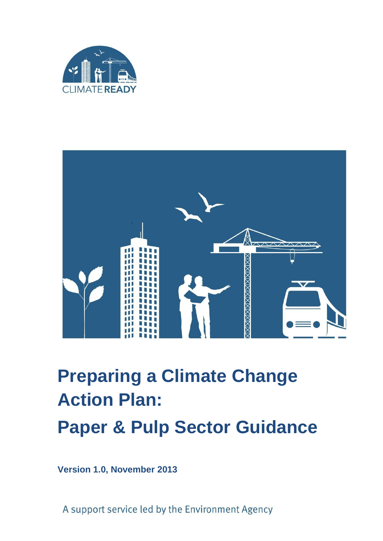



# **Preparing a Climate Change Action Plan: Paper & Pulp Sector Guidance**

**Version 1.0, November 2013**

A support service led by the Environment Agency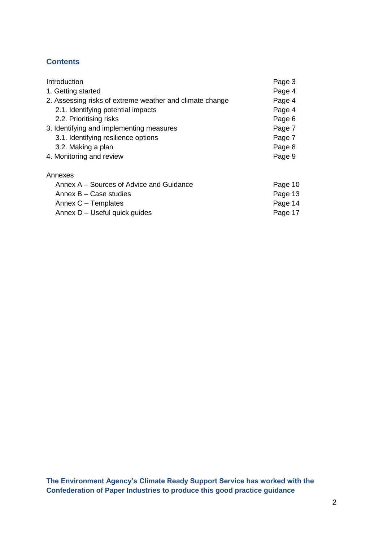# **Contents**

| Introduction                                             | Page 3  |
|----------------------------------------------------------|---------|
| 1. Getting started                                       | Page 4  |
| 2. Assessing risks of extreme weather and climate change | Page 4  |
| 2.1. Identifying potential impacts                       | Page 4  |
| 2.2. Prioritising risks                                  | Page 6  |
| 3. Identifying and implementing measures                 | Page 7  |
| 3.1. Identifying resilience options                      | Page 7  |
| 3.2. Making a plan                                       | Page 8  |
| 4. Monitoring and review                                 | Page 9  |
| Annexes                                                  |         |
| Annex A – Sources of Advice and Guidance                 | Page 10 |
| Annex B - Case studies                                   | Page 13 |
| Annex C – Templates                                      | Page 14 |
| Annex D - Useful quick guides                            | Page 17 |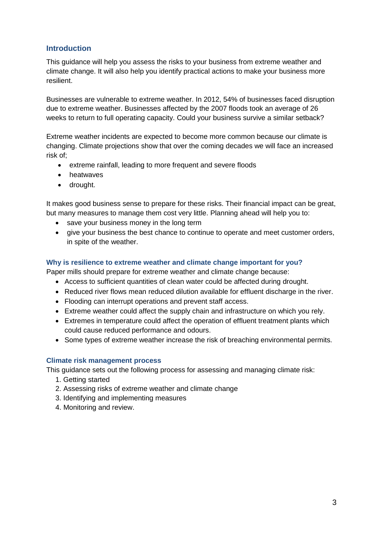## **Introduction**

This guidance will help you assess the risks to your business from extreme weather and climate change. It will also help you identify practical actions to make your business more resilient.

Businesses are vulnerable to extreme weather. In 2012, 54% of businesses faced disruption due to extreme weather. Businesses affected by the 2007 floods took an average of 26 weeks to return to full operating capacity. Could your business survive a similar setback?

Extreme weather incidents are expected to become more common because our climate is changing. Climate projections show that over the coming decades we will face an increased risk of;

- extreme rainfall, leading to more frequent and severe floods
- **•** heatwaves
- drought.

It makes good business sense to prepare for these risks. Their financial impact can be great, but many measures to manage them cost very little. Planning ahead will help you to:

- save your business money in the long term
- give your business the best chance to continue to operate and meet customer orders, in spite of the weather.

## **Why is resilience to extreme weather and climate change important for you?**

Paper mills should prepare for extreme weather and climate change because:

- Access to sufficient quantities of clean water could be affected during drought.
- Reduced river flows mean reduced dilution available for effluent discharge in the river.
- Flooding can interrupt operations and prevent staff access.
- Extreme weather could affect the supply chain and infrastructure on which you rely.
- Extremes in temperature could affect the operation of effluent treatment plants which could cause reduced performance and odours.
- Some types of extreme weather increase the risk of breaching environmental permits.

## **Climate risk management process**

This guidance sets out the following process for assessing and managing climate risk:

- 1. Getting started
- 2. Assessing risks of extreme weather and climate change
- 3. Identifying and implementing measures
- 4. Monitoring and review.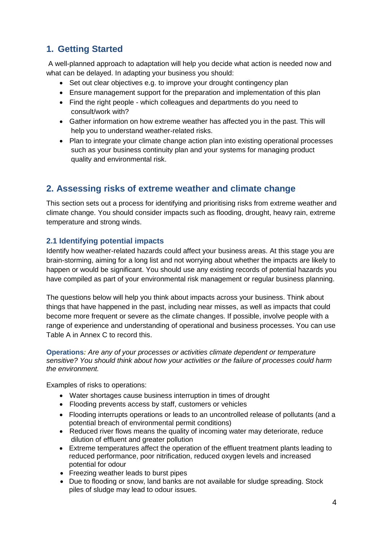# **1. Getting Started**

A well-planned approach to adaptation will help you decide what action is needed now and what can be delayed. In adapting your business you should:

- Set out clear objectives e.g. to improve your drought contingency plan
- Ensure management support for the preparation and implementation of this plan
- Find the right people which colleagues and departments do you need to consult/work with?
- Gather information on how extreme weather has affected you in the past. This will help you to understand weather-related risks.
- Plan to integrate your climate change action plan into existing operational processes such as your business continuity plan and your systems for managing product quality and environmental risk.

# **2. Assessing risks of extreme weather and climate change**

This section sets out a process for identifying and prioritising risks from extreme weather and climate change. You should consider impacts such as flooding, drought, heavy rain, extreme temperature and strong winds.

## **2.1 Identifying potential impacts**

Identify how weather-related hazards could affect your business areas. At this stage you are brain-storming, aiming for a long list and not worrying about whether the impacts are likely to happen or would be significant. You should use any existing records of potential hazards you have compiled as part of your environmental risk management or regular business planning.

The questions below will help you think about impacts across your business. Think about things that have happened in the past, including near misses, as well as impacts that could become more frequent or severe as the climate changes. If possible, involve people with a range of experience and understanding of operational and business processes. You can use Table A in Annex C to record this.

**Operations***: Are any of your processes or activities climate dependent or temperature sensitive? You should think about how your activities or the failure of processes could harm the environment.*

Examples of risks to operations:

- Water shortages cause business interruption in times of drought
- Flooding prevents access by staff, customers or vehicles
- Flooding interrupts operations or leads to an uncontrolled release of pollutants (and a potential breach of environmental permit conditions)
- Reduced river flows means the quality of incoming water may deteriorate, reduce dilution of effluent and greater pollution
- Extreme temperatures affect the operation of the effluent treatment plants leading to reduced performance, poor nitrification, reduced oxygen levels and increased potential for odour
- Freezing weather leads to burst pipes
- Due to flooding or snow, land banks are not available for sludge spreading. Stock piles of sludge may lead to odour issues.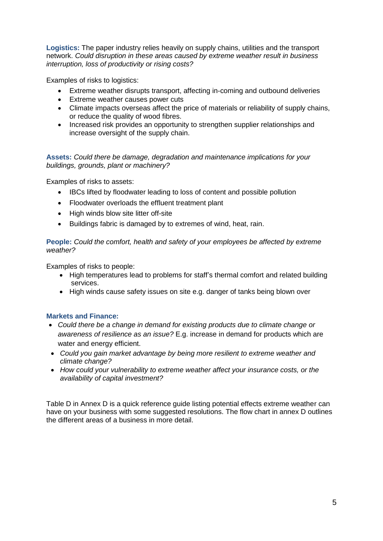**Logistics:** The paper industry relies heavily on supply chains, utilities and the transport network. *Could disruption in these areas caused by extreme weather result in business interruption, loss of productivity or rising costs?* 

Examples of risks to logistics:

- Extreme weather disrupts transport, affecting in-coming and outbound deliveries
- Extreme weather causes power cuts
- Climate impacts overseas affect the price of materials or reliability of supply chains, or reduce the quality of wood fibres.
- Increased risk provides an opportunity to strengthen supplier relationships and increase oversight of the supply chain.

**Assets:** *Could there be damage, degradation and maintenance implications for your buildings, grounds, plant or machinery?*

Examples of risks to assets:

- IBCs lifted by floodwater leading to loss of content and possible pollution
- Floodwater overloads the effluent treatment plant
- High winds blow site litter off-site
- Buildings fabric is damaged by to extremes of wind, heat, rain.

**People:** *Could the comfort, health and safety of your employees be affected by extreme weather?* 

Examples of risks to people:

- High temperatures lead to problems for staff's thermal comfort and related building services.
- High winds cause safety issues on site e.g. danger of tanks being blown over

## **Markets and Finance:**

- *Could there be a change in demand for existing products due to climate change or awareness of resilience as an issue?* E.g. increase in demand for products which are water and energy efficient.
- *Could you gain market advantage by being more resilient to extreme weather and climate change?*
- *How could your vulnerability to extreme weather affect your insurance costs, or the availability of capital investment?*

Table D in Annex D is a quick reference guide listing potential effects extreme weather can have on your business with some suggested resolutions. The flow chart in annex D outlines the different areas of a business in more detail.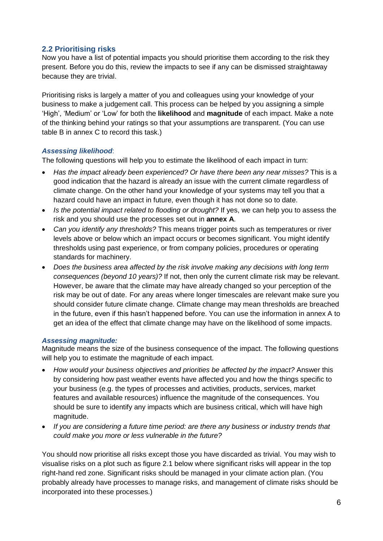## **2.2 Prioritising risks**

Now you have a list of potential impacts you should prioritise them according to the risk they present. Before you do this, review the impacts to see if any can be dismissed straightaway because they are trivial.

Prioritising risks is largely a matter of you and colleagues using your knowledge of your business to make a judgement call. This process can be helped by you assigning a simple 'High', 'Medium' or 'Low' for both the **likelihood** and **magnitude** of each impact. Make a note of the thinking behind your ratings so that your assumptions are transparent. (You can use table B in annex C to record this task.)

## *Assessing likelihood*:

The following questions will help you to estimate the likelihood of each impact in turn:

- *Has the impact already been experienced? Or have there been any near misses?* This is a good indication that the hazard is already an issue with the current climate regardless of climate change. On the other hand your knowledge of your systems may tell you that a hazard could have an impact in future, even though it has not done so to date.
- Is the potential impact related to flooding or drought? If yes, we can help you to assess the risk and you should use the processes set out in **annex A**.
- *Can you identify any thresholds?* This means trigger points such as temperatures or river levels above or below which an impact occurs or becomes significant. You might identify thresholds using past experience, or from company policies, procedures or operating standards for machinery.
- *Does the business area affected by the risk involve making any decisions with long term consequences (beyond 10 years)?* If not, then only the current climate risk may be relevant. However, be aware that the climate may have already changed so your perception of the risk may be out of date. For any areas where longer timescales are relevant make sure you should consider future climate change. Climate change may mean thresholds are breached in the future, even if this hasn't happened before. You can use the information in annex A to get an idea of the effect that climate change may have on the likelihood of some impacts.

## *Assessing magnitude:*

Magnitude means the size of the business consequence of the impact. The following questions will help you to estimate the magnitude of each impact.

- *How would your business objectives and priorities be affected by the impact?* Answer this by considering how past weather events have affected you and how the things specific to your business (e.g. the types of processes and activities, products, services, market features and available resources) influence the magnitude of the consequences. You should be sure to identify any impacts which are business critical, which will have high magnitude.
- *If you are considering a future time period: are there any business or industry trends that could make you more or less vulnerable in the future?*

You should now prioritise all risks except those you have discarded as trivial. You may wish to visualise risks on a plot such as figure 2.1 below where significant risks will appear in the top right-hand red zone. Significant risks should be managed in your climate action plan. (You probably already have processes to manage risks, and management of climate risks should be incorporated into these processes.)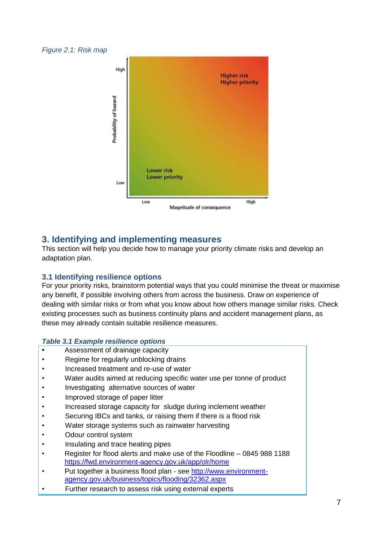#### *Figure 2.1: Risk map*



# **3. Identifying and implementing measures**

This section will help you decide how to manage your priority climate risks and develop an adaptation plan.

## **3.1 Identifying resilience options**

For your priority risks, brainstorm potential ways that you could minimise the threat or maximise any benefit, if possible involving others from across the business. Draw on experience of dealing with similar risks or from what you know about how others manage similar risks. Check existing processes such as business continuity plans and accident management plans, as these may already contain suitable resilience measures.

## *Table 3.1 Example resilience options*

- **•** Assessment of drainage capacity
- Regime for regularly unblocking drains
- Increased treatment and re-use of water
- Water audits aimed at reducing specific water use per tonne of product
- Investigating alternative sources of water
- Improved storage of paper litter
- Increased storage capacity for sludge during inclement weather
- Securing IBCs and tanks, or raising them if there is a flood risk
- Water storage systems such as rainwater harvesting
- Odour control system
- Insulating and trace heating pipes
- Register for flood alerts and make use of the Floodline 0845 988 1188 <https://fwd.environment-agency.gov.uk/app/olr/home>
- Put together a business flood plan see [http://www.environment](http://www.environment-agency.gov.uk/business/topics/flooding/32362.aspx)[agency.gov.uk/business/topics/flooding/32362.aspx](http://www.environment-agency.gov.uk/business/topics/flooding/32362.aspx)
- Further research to assess risk using external experts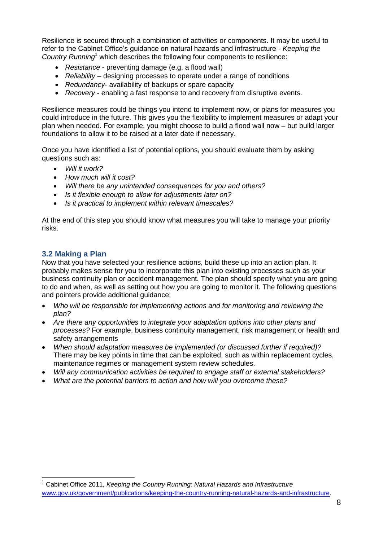Resilience is secured through a combination of activities or components. It may be useful to refer to the Cabinet Office's guidance on natural hazards and infrastructure - *Keeping the Country Running*<sup>1</sup> which describes the following four components to resilience:

- *Resistance* preventing damage (e.g. a flood wall)
- *Reliability* designing processes to operate under a range of conditions
- *Redundancy* availability of backups or spare capacity
- *Recovery* enabling a fast response to and recovery from disruptive events.

Resilience measures could be things you intend to implement now, or plans for measures you could introduce in the future. This gives you the flexibility to implement measures or adapt your plan when needed. For example, you might choose to build a flood wall now – but build larger foundations to allow it to be raised at a later date if necessary.

Once you have identified a list of potential options, you should evaluate them by asking questions such as:

- *Will it work?*
- *How much will it cost?*
- *Will there be any unintended consequences for you and others?*
- *Is it flexible enough to allow for adjustments later on?*
- *Is it practical to implement within relevant timescales?*

At the end of this step you should know what measures you will take to manage your priority risks.

## **3.2 Making a Plan**

l

Now that you have selected your resilience actions, build these up into an action plan. It probably makes sense for you to incorporate this plan into existing processes such as your business continuity plan or accident management. The plan should specify what you are going to do and when, as well as setting out how you are going to monitor it. The following questions and pointers provide additional guidance;

- *Who will be responsible for implementing actions and for monitoring and reviewing the plan?*
- *Are there any opportunities to integrate your adaptation options into other plans and processes?* For example, business continuity management, risk management or health and safety arrangements
- *When should adaptation measures be implemented (or discussed further if required)?*  There may be key points in time that can be exploited, such as within replacement cycles, maintenance regimes or management system review schedules.
- *Will any communication activities be required to engage staff or external stakeholders?*
- *What are the potential barriers to action and how will you overcome these?*

<sup>1</sup> Cabinet Office 2011, *Keeping the Country Running: Natural Hazards and Infrastructure* [www.gov.uk/government/publications/keeping-the-country-running-natural-hazards-and-infrastructure.](http://www.gov.uk/government/publications/keeping-the-country-running-natural-hazards-and-infrastructure)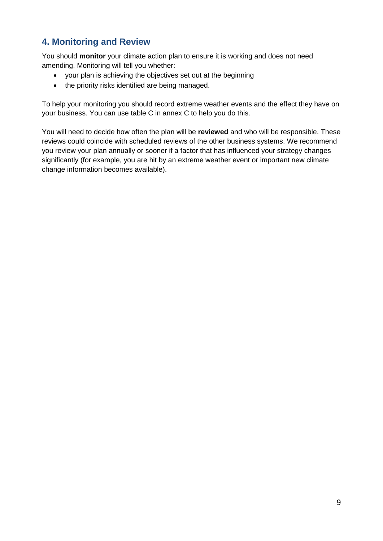# **4. Monitoring and Review**

You should **monitor** your climate action plan to ensure it is working and does not need amending. Monitoring will tell you whether:

- your plan is achieving the objectives set out at the beginning
- the priority risks identified are being managed.

To help your monitoring you should record extreme weather events and the effect they have on your business. You can use table C in annex C to help you do this.

You will need to decide how often the plan will be **reviewed** and who will be responsible. These reviews could coincide with scheduled reviews of the other business systems. We recommend you review your plan annually or sooner if a factor that has influenced your strategy changes significantly (for example, you are hit by an extreme weather event or important new climate change information becomes available).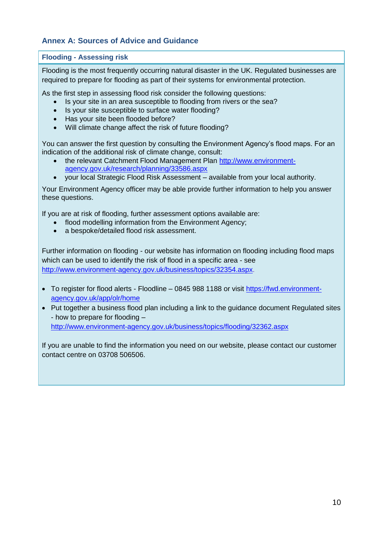## **Annex A: Sources of Advice and Guidance**

## **Flooding - Assessing risk**

Flooding is the most frequently occurring natural disaster in the UK. Regulated businesses are required to prepare for flooding as part of their systems for environmental protection.

As the first step in assessing flood risk consider the following questions:

- Is your site in an area susceptible to flooding from rivers or the sea?
- Is your site susceptible to surface water flooding?
- Has your site been flooded before?
- Will climate change affect the risk of future flooding?

You can answer the first question by consulting the Environment Agency's flood maps. For an indication of the additional risk of climate change, consult:

- the relevant Catchment Flood Management Plan [http://www.environment](http://www.environment-agency.gov.uk/research/planning/33586.aspx)[agency.gov.uk/research/planning/33586.aspx](http://www.environment-agency.gov.uk/research/planning/33586.aspx)
- your local Strategic Flood Risk Assessment available from your local authority.

Your Environment Agency officer may be able provide further information to help you answer these questions.

If you are at risk of flooding, further assessment options available are:

- flood modelling information from the Environment Agency:
- a bespoke/detailed flood risk assessment.

Further information on flooding - our website has information on flooding including flood maps which can be used to identify the risk of flood in a specific area - see [http://www.environment-agency.gov.uk/business/topics/32354.aspx.](http://www.environment-agency.gov.uk/business/topics/32354.aspx)

- To register for flood alerts Floodline 0845 988 1188 or visit [https://fwd.environment](https://fwd.environment-agency.gov.uk/app/olr/home)[agency.gov.uk/app/olr/home](https://fwd.environment-agency.gov.uk/app/olr/home)
- Put together a business flood plan including a link to the guidance document Regulated sites - how to prepare for flooding – <http://www.environment-agency.gov.uk/business/topics/flooding/32362.aspx>

If you are unable to find the information you need on our website, please contact our customer contact centre on 03708 506506.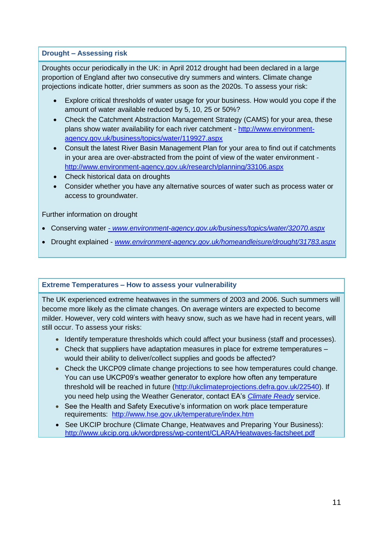## **Drought – Assessing risk**

Droughts occur periodically in the UK: in April 2012 drought had been declared in a large proportion of England after two consecutive dry summers and winters. Climate change projections indicate hotter, drier summers as soon as the 2020s. To assess your risk:

- Explore critical thresholds of water usage for your business. How would you cope if the amount of water available reduced by 5, 10, 25 or 50%?
- Check the Catchment Abstraction Management Strategy (CAMS) for your area, these plans show water availability for each river catchment - [http://www.environment](http://www.environment-agency.gov.uk/business/topics/water/119927.aspx)[agency.gov.uk/business/topics/water/119927.aspx](http://www.environment-agency.gov.uk/business/topics/water/119927.aspx)
- Consult the latest River Basin Management Plan for your area to find out if catchments in your area are over-abstracted from the point of view of the water environment <http://www.environment-agency.gov.uk/research/planning/33106.aspx>
- Check historical data on droughts
- Consider whether you have any alternative sources of water such as process water or access to groundwater.

## Further information on drought

- Conserving water *- [www.environment-agency.gov.uk/business/topics/water/32070.aspx](http://www.environment-agency.gov.uk/business/topics/water/32070.aspx)*
- Drought explained *[www.environment-agency.gov.uk/homeandleisure/drought/31783.aspx](http://www.environment-agency.gov.uk/homeandleisure/drought/31783.aspx)*

## **Extreme Temperatures – How to assess your vulnerability**

The UK experienced extreme heatwaves in the summers of 2003 and 2006. Such summers will become more likely as the climate changes. On average winters are expected to become milder. However, very cold winters with heavy snow, such as we have had in recent years, will still occur. To assess your risks:

- Identify temperature thresholds which could affect your business (staff and processes).
- Check that suppliers have adaptation measures in place for extreme temperatures would their ability to deliver/collect supplies and goods be affected?
- Check the UKCP09 climate change projections to see how temperatures could change. You can use UKCP09's weather generator to explore how often any temperature threshold will be reached in future [\(http://ukclimateprojections.defra.gov.uk/22540\)](http://ukclimateprojections.defra.gov.uk/22540). If you need help using the Weather Generator, contact EA's *[Climate Ready](http://www.environment-agency.gov.uk/research/137575.aspx)* service.
- See the Health and Safety Executive's information on work place temperature requirements: <http://www.hse.gov.uk/temperature/index.htm>
- See UKCIP brochure (Climate Change, Heatwaves and Preparing Your Business): <http://www.ukcip.org.uk/wordpress/wp-content/CLARA/Heatwaves-factsheet.pdf>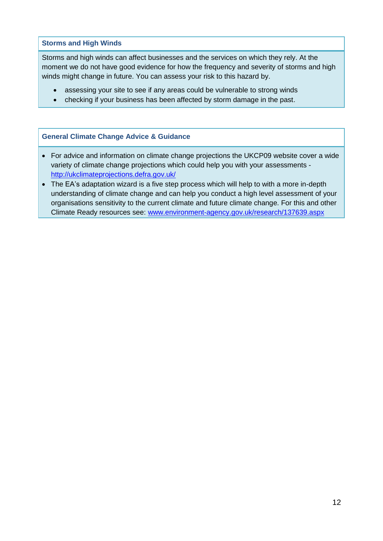**Storms and High Winds**

Storms and high winds can affect businesses and the services on which they rely. At the moment we do not have good evidence for how the frequency and severity of storms and high winds might change in future. You can assess your risk to this hazard by.

- assessing your site to see if any areas could be vulnerable to strong winds
- checking if your business has been affected by storm damage in the past.

## **General Climate Change Advice & Guidance**

- For advice and information on climate change projections the UKCP09 website cover a wide variety of climate change projections which could help you with your assessments <http://ukclimateprojections.defra.gov.uk/>
- The EA's adaptation wizard is a five step process which will help to with a more in-depth understanding of climate change and can help you conduct a high level assessment of your organisations sensitivity to the current climate and future climate change. For this and other Climate Ready resources see: [www.environment-agency.gov.uk/research/137639.aspx](http://www.environment-agency.gov.uk/research/137639.aspx)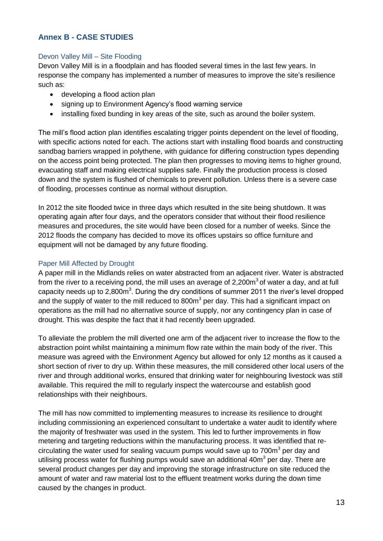## **Annex B - CASE STUDIES**

## Devon Valley Mill – Site Flooding

Devon Valley Mill is in a floodplain and has flooded several times in the last few years. In response the company has implemented a number of measures to improve the site's resilience such as:

- developing a flood action plan
- signing up to Environment Agency's flood warning service
- installing fixed bunding in key areas of the site, such as around the boiler system.

The mill's flood action plan identifies escalating trigger points dependent on the level of flooding, with specific actions noted for each. The actions start with installing flood boards and constructing sandbag barriers wrapped in polythene, with guidance for differing construction types depending on the access point being protected. The plan then progresses to moving items to higher ground, evacuating staff and making electrical supplies safe. Finally the production process is closed down and the system is flushed of chemicals to prevent pollution. Unless there is a severe case of flooding, processes continue as normal without disruption.

In 2012 the site flooded twice in three days which resulted in the site being shutdown. It was operating again after four days, and the operators consider that without their flood resilience measures and procedures, the site would have been closed for a number of weeks. Since the 2012 floods the company has decided to move its offices upstairs so office furniture and equipment will not be damaged by any future flooding.

#### Paper Mill Affected by Drought

A paper mill in the Midlands relies on water abstracted from an adjacent river. Water is abstracted from the river to a receiving pond, the mill uses an average of 2,200 $\mathrm{m}^3$  of water a day, and at full capacity needs up to 2,800 $m<sup>3</sup>$ . During the dry conditions of summer 2011 the river's level dropped and the supply of water to the mill reduced to 800m<sup>3</sup> per day. This had a significant impact on operations as the mill had no alternative source of supply, nor any contingency plan in case of drought. This was despite the fact that it had recently been upgraded.

To alleviate the problem the mill diverted one arm of the adjacent river to increase the flow to the abstraction point whilst maintaining a minimum flow rate within the main body of the river. This measure was agreed with the Environment Agency but allowed for only 12 months as it caused a short section of river to dry up. Within these measures, the mill considered other local users of the river and through additional works, ensured that drinking water for neighbouring livestock was still available. This required the mill to regularly inspect the watercourse and establish good relationships with their neighbours.

The mill has now committed to implementing measures to increase its resilience to drought including commissioning an experienced consultant to undertake a water audit to identify where the majority of freshwater was used in the system. This led to further improvements in flow metering and targeting reductions within the manufacturing process. It was identified that recirculating the water used for sealing vacuum pumps would save up to 700 $m<sup>3</sup>$  per day and utilising process water for flushing pumps would save an additional 40m<sup>3</sup> per day. There are several product changes per day and improving the storage infrastructure on site reduced the amount of water and raw material lost to the effluent treatment works during the down time caused by the changes in product.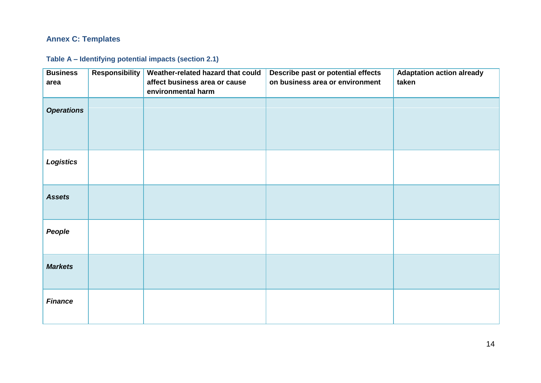# **Annex C: Templates**

**Table A – Identifying potential impacts (section 2.1)**

| <b>Business</b><br>area | <b>Responsibility</b> | Weather-related hazard that could<br>affect business area or cause | Describe past or potential effects<br>on business area or environment | <b>Adaptation action already</b><br>taken |
|-------------------------|-----------------------|--------------------------------------------------------------------|-----------------------------------------------------------------------|-------------------------------------------|
|                         |                       | environmental harm                                                 |                                                                       |                                           |
| <b>Operations</b>       |                       |                                                                    |                                                                       |                                           |
| <b>Logistics</b>        |                       |                                                                    |                                                                       |                                           |
| <b>Assets</b>           |                       |                                                                    |                                                                       |                                           |
| People                  |                       |                                                                    |                                                                       |                                           |
| <b>Markets</b>          |                       |                                                                    |                                                                       |                                           |
| <b>Finance</b>          |                       |                                                                    |                                                                       |                                           |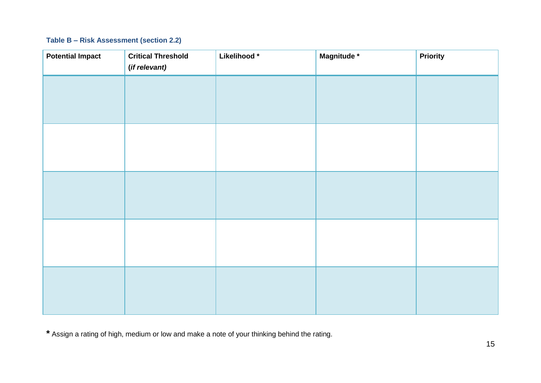# **Table B – Risk Assessment (section 2.2)**

| <b>Potential Impact</b> | <b>Critical Threshold</b><br>(if relevant) | Likelihood* | Magnitude * | <b>Priority</b> |
|-------------------------|--------------------------------------------|-------------|-------------|-----------------|
|                         |                                            |             |             |                 |
|                         |                                            |             |             |                 |
|                         |                                            |             |             |                 |
|                         |                                            |             |             |                 |
|                         |                                            |             |             |                 |
|                         |                                            |             |             |                 |
|                         |                                            |             |             |                 |
|                         |                                            |             |             |                 |
|                         |                                            |             |             |                 |
|                         |                                            |             |             |                 |

**\*** Assign a rating of high, medium or low and make a note of your thinking behind the rating.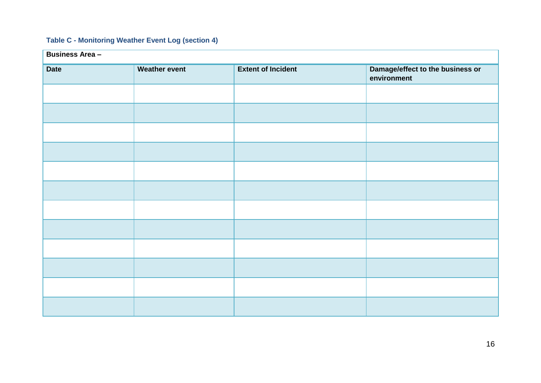## **Table C - Monitoring Weather Event Log (section 4)**

| <b>Business Area -</b> |                      |                           |                                                 |
|------------------------|----------------------|---------------------------|-------------------------------------------------|
| <b>Date</b>            | <b>Weather event</b> | <b>Extent of Incident</b> | Damage/effect to the business or<br>environment |
|                        |                      |                           |                                                 |
|                        |                      |                           |                                                 |
|                        |                      |                           |                                                 |
|                        |                      |                           |                                                 |
|                        |                      |                           |                                                 |
|                        |                      |                           |                                                 |
|                        |                      |                           |                                                 |
|                        |                      |                           |                                                 |
|                        |                      |                           |                                                 |
|                        |                      |                           |                                                 |
|                        |                      |                           |                                                 |
|                        |                      |                           |                                                 |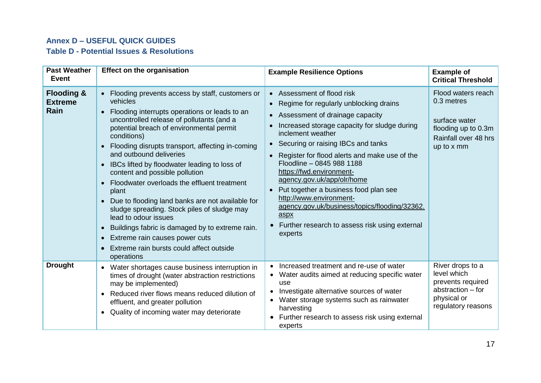## **Annex D – USEFUL QUICK GUIDES**

# **Table D - Potential Issues & Resolutions**

| <b>Past Weather</b><br><b>Event</b>             | <b>Effect on the organisation</b>                                                                                                                                                                                                                                                                                                                                                                                                                                                                                                                                                                                                                                                                                                                                                                           | <b>Example Resilience Options</b>                                                                                                                                                                                                                                                                                                                                                                                                                                                                                                                               | <b>Example of</b><br><b>Critical Threshold</b>                                                                 |
|-------------------------------------------------|-------------------------------------------------------------------------------------------------------------------------------------------------------------------------------------------------------------------------------------------------------------------------------------------------------------------------------------------------------------------------------------------------------------------------------------------------------------------------------------------------------------------------------------------------------------------------------------------------------------------------------------------------------------------------------------------------------------------------------------------------------------------------------------------------------------|-----------------------------------------------------------------------------------------------------------------------------------------------------------------------------------------------------------------------------------------------------------------------------------------------------------------------------------------------------------------------------------------------------------------------------------------------------------------------------------------------------------------------------------------------------------------|----------------------------------------------------------------------------------------------------------------|
| <b>Flooding &amp;</b><br><b>Extreme</b><br>Rain | Flooding prevents access by staff, customers or<br>$\bullet$<br>vehicles<br>• Flooding interrupts operations or leads to an<br>uncontrolled release of pollutants (and a<br>potential breach of environmental permit<br>conditions)<br>Flooding disrupts transport, affecting in-coming<br>$\bullet$<br>and outbound deliveries<br>• IBCs lifted by floodwater leading to loss of<br>content and possible pollution<br>Floodwater overloads the effluent treatment<br>$\bullet$<br>plant<br>• Due to flooding land banks are not available for<br>sludge spreading. Stock piles of sludge may<br>lead to odour issues<br>Buildings fabric is damaged by to extreme rain.<br>$\bullet$<br>Extreme rain causes power cuts<br>$\bullet$<br>Extreme rain bursts could affect outside<br>$\bullet$<br>operations | Assessment of flood risk<br>Regime for regularly unblocking drains<br>Assessment of drainage capacity<br>$\bullet$<br>Increased storage capacity for sludge during<br>inclement weather<br>Securing or raising IBCs and tanks<br>Register for flood alerts and make use of the<br>Floodline - 0845 988 1188<br>https://fwd.environment-<br>agency.gov.uk/app/olr/home<br>Put together a business food plan see<br>http://www.environment-<br>agency.gov.uk/business/topics/flooding/32362.<br>aspx<br>Further research to assess risk using external<br>experts | Flood waters reach<br>0.3 metres<br>surface water<br>flooding up to 0.3m<br>Rainfall over 48 hrs<br>up to x mm |
| <b>Drought</b>                                  | • Water shortages cause business interruption in<br>times of drought (water abstraction restrictions<br>may be implemented)<br>• Reduced river flows means reduced dilution of<br>effluent, and greater pollution<br>Quality of incoming water may deteriorate<br>$\bullet$                                                                                                                                                                                                                                                                                                                                                                                                                                                                                                                                 | Increased treatment and re-use of water<br>Water audits aimed at reducing specific water<br>use<br>Investigate alternative sources of water<br>Water storage systems such as rainwater<br>harvesting<br>Further research to assess risk using external<br>experts                                                                                                                                                                                                                                                                                               | River drops to a<br>level which<br>prevents required<br>abstraction – for<br>physical or<br>regulatory reasons |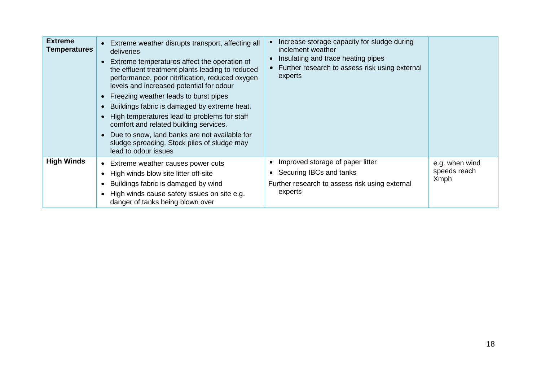| <b>Extreme</b><br><b>Temperatures</b> | Extreme weather disrupts transport, affecting all<br>deliveries<br>Extreme temperatures affect the operation of<br>the effluent treatment plants leading to reduced<br>performance, poor nitrification, reduced oxygen<br>levels and increased potential for odour<br>• Freezing weather leads to burst pipes<br>Buildings fabric is damaged by extreme heat.<br>High temperatures lead to problems for staff<br>comfort and related building services.<br>Due to snow, land banks are not available for<br>sludge spreading. Stock piles of sludge may<br>lead to odour issues | Increase storage capacity for sludge during<br>inclement weather<br>Insulating and trace heating pipes<br>Further research to assess risk using external<br>experts |                                               |
|---------------------------------------|---------------------------------------------------------------------------------------------------------------------------------------------------------------------------------------------------------------------------------------------------------------------------------------------------------------------------------------------------------------------------------------------------------------------------------------------------------------------------------------------------------------------------------------------------------------------------------|---------------------------------------------------------------------------------------------------------------------------------------------------------------------|-----------------------------------------------|
| <b>High Winds</b>                     | • Extreme weather causes power cuts<br>High winds blow site litter off-site<br>Buildings fabric is damaged by wind<br>High winds cause safety issues on site e.g.<br>danger of tanks being blown over                                                                                                                                                                                                                                                                                                                                                                           | Improved storage of paper litter<br>Securing IBCs and tanks<br>$\bullet$<br>Further research to assess risk using external<br>experts                               | e.g. when wind<br>speeds reach<br><b>Xmph</b> |